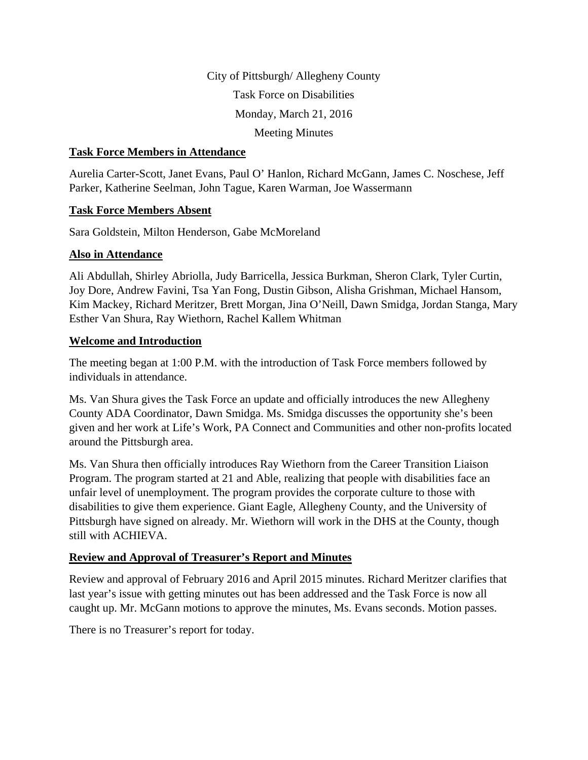City of Pittsburgh/ Allegheny County Task Force on Disabilities Monday, March 21, 2016 Meeting Minutes

### **Task Force Members in Attendance**

Aurelia Carter-Scott, Janet Evans, Paul O' Hanlon, Richard McGann, James C. Noschese, Jeff Parker, Katherine Seelman, John Tague, Karen Warman, Joe Wassermann

### **Task Force Members Absent**

Sara Goldstein, Milton Henderson, Gabe McMoreland

### **Also in Attendance**

Ali Abdullah, Shirley Abriolla, Judy Barricella, Jessica Burkman, Sheron Clark, Tyler Curtin, Joy Dore, Andrew Favini, Tsa Yan Fong, Dustin Gibson, Alisha Grishman, Michael Hansom, Kim Mackey, Richard Meritzer, Brett Morgan, Jina O'Neill, Dawn Smidga, Jordan Stanga, Mary Esther Van Shura, Ray Wiethorn, Rachel Kallem Whitman

### **Welcome and Introduction**

The meeting began at 1:00 P.M. with the introduction of Task Force members followed by individuals in attendance.

Ms. Van Shura gives the Task Force an update and officially introduces the new Allegheny County ADA Coordinator, Dawn Smidga. Ms. Smidga discusses the opportunity she's been given and her work at Life's Work, PA Connect and Communities and other non-profits located around the Pittsburgh area.

Ms. Van Shura then officially introduces Ray Wiethorn from the Career Transition Liaison Program. The program started at 21 and Able, realizing that people with disabilities face an unfair level of unemployment. The program provides the corporate culture to those with disabilities to give them experience. Giant Eagle, Allegheny County, and the University of Pittsburgh have signed on already. Mr. Wiethorn will work in the DHS at the County, though still with ACHIEVA.

### **Review and Approval of Treasurer's Report and Minutes**

Review and approval of February 2016 and April 2015 minutes. Richard Meritzer clarifies that last year's issue with getting minutes out has been addressed and the Task Force is now all caught up. Mr. McGann motions to approve the minutes, Ms. Evans seconds. Motion passes.

There is no Treasurer's report for today.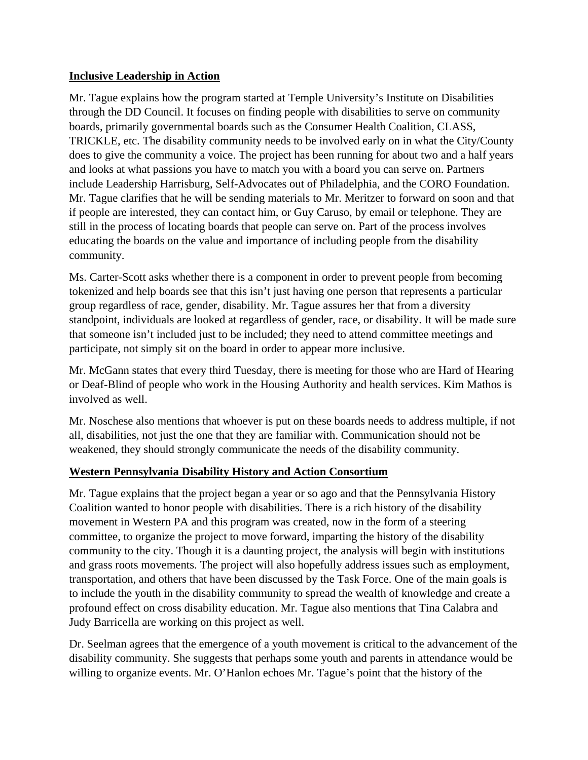## **Inclusive Leadership in Action**

Mr. Tague explains how the program started at Temple University's Institute on Disabilities through the DD Council. It focuses on finding people with disabilities to serve on community boards, primarily governmental boards such as the Consumer Health Coalition, CLASS, TRICKLE, etc. The disability community needs to be involved early on in what the City/County does to give the community a voice. The project has been running for about two and a half years and looks at what passions you have to match you with a board you can serve on. Partners include Leadership Harrisburg, Self-Advocates out of Philadelphia, and the CORO Foundation. Mr. Tague clarifies that he will be sending materials to Mr. Meritzer to forward on soon and that if people are interested, they can contact him, or Guy Caruso, by email or telephone. They are still in the process of locating boards that people can serve on. Part of the process involves educating the boards on the value and importance of including people from the disability community.

Ms. Carter-Scott asks whether there is a component in order to prevent people from becoming tokenized and help boards see that this isn't just having one person that represents a particular group regardless of race, gender, disability. Mr. Tague assures her that from a diversity standpoint, individuals are looked at regardless of gender, race, or disability. It will be made sure that someone isn't included just to be included; they need to attend committee meetings and participate, not simply sit on the board in order to appear more inclusive.

Mr. McGann states that every third Tuesday, there is meeting for those who are Hard of Hearing or Deaf-Blind of people who work in the Housing Authority and health services. Kim Mathos is involved as well.

Mr. Noschese also mentions that whoever is put on these boards needs to address multiple, if not all, disabilities, not just the one that they are familiar with. Communication should not be weakened, they should strongly communicate the needs of the disability community.

# **Western Pennsylvania Disability History and Action Consortium**

Mr. Tague explains that the project began a year or so ago and that the Pennsylvania History Coalition wanted to honor people with disabilities. There is a rich history of the disability movement in Western PA and this program was created, now in the form of a steering committee, to organize the project to move forward, imparting the history of the disability community to the city. Though it is a daunting project, the analysis will begin with institutions and grass roots movements. The project will also hopefully address issues such as employment, transportation, and others that have been discussed by the Task Force. One of the main goals is to include the youth in the disability community to spread the wealth of knowledge and create a profound effect on cross disability education. Mr. Tague also mentions that Tina Calabra and Judy Barricella are working on this project as well.

Dr. Seelman agrees that the emergence of a youth movement is critical to the advancement of the disability community. She suggests that perhaps some youth and parents in attendance would be willing to organize events. Mr. O'Hanlon echoes Mr. Tague's point that the history of the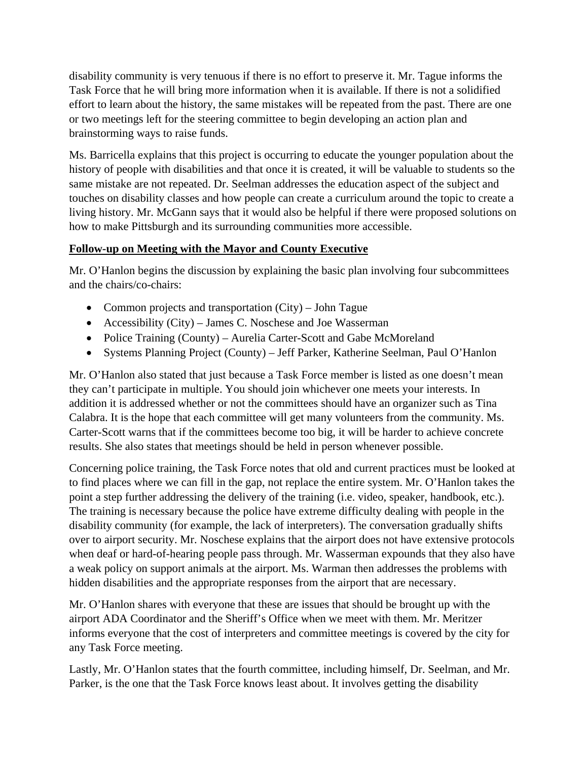disability community is very tenuous if there is no effort to preserve it. Mr. Tague informs the Task Force that he will bring more information when it is available. If there is not a solidified effort to learn about the history, the same mistakes will be repeated from the past. There are one or two meetings left for the steering committee to begin developing an action plan and brainstorming ways to raise funds.

Ms. Barricella explains that this project is occurring to educate the younger population about the history of people with disabilities and that once it is created, it will be valuable to students so the same mistake are not repeated. Dr. Seelman addresses the education aspect of the subject and touches on disability classes and how people can create a curriculum around the topic to create a living history. Mr. McGann says that it would also be helpful if there were proposed solutions on how to make Pittsburgh and its surrounding communities more accessible.

## **Follow-up on Meeting with the Mayor and County Executive**

Mr. O'Hanlon begins the discussion by explaining the basic plan involving four subcommittees and the chairs/co-chairs:

- Common projects and transportation (City) John Tague
- Accessibility (City) James C. Noschese and Joe Wasserman
- Police Training (County) Aurelia Carter-Scott and Gabe McMoreland
- Systems Planning Project (County) Jeff Parker, Katherine Seelman, Paul O'Hanlon

Mr. O'Hanlon also stated that just because a Task Force member is listed as one doesn't mean they can't participate in multiple. You should join whichever one meets your interests. In addition it is addressed whether or not the committees should have an organizer such as Tina Calabra. It is the hope that each committee will get many volunteers from the community. Ms. Carter-Scott warns that if the committees become too big, it will be harder to achieve concrete results. She also states that meetings should be held in person whenever possible.

Concerning police training, the Task Force notes that old and current practices must be looked at to find places where we can fill in the gap, not replace the entire system. Mr. O'Hanlon takes the point a step further addressing the delivery of the training (i.e. video, speaker, handbook, etc.). The training is necessary because the police have extreme difficulty dealing with people in the disability community (for example, the lack of interpreters). The conversation gradually shifts over to airport security. Mr. Noschese explains that the airport does not have extensive protocols when deaf or hard-of-hearing people pass through. Mr. Wasserman expounds that they also have a weak policy on support animals at the airport. Ms. Warman then addresses the problems with hidden disabilities and the appropriate responses from the airport that are necessary.

Mr. O'Hanlon shares with everyone that these are issues that should be brought up with the airport ADA Coordinator and the Sheriff's Office when we meet with them. Mr. Meritzer informs everyone that the cost of interpreters and committee meetings is covered by the city for any Task Force meeting.

Lastly, Mr. O'Hanlon states that the fourth committee, including himself, Dr. Seelman, and Mr. Parker, is the one that the Task Force knows least about. It involves getting the disability